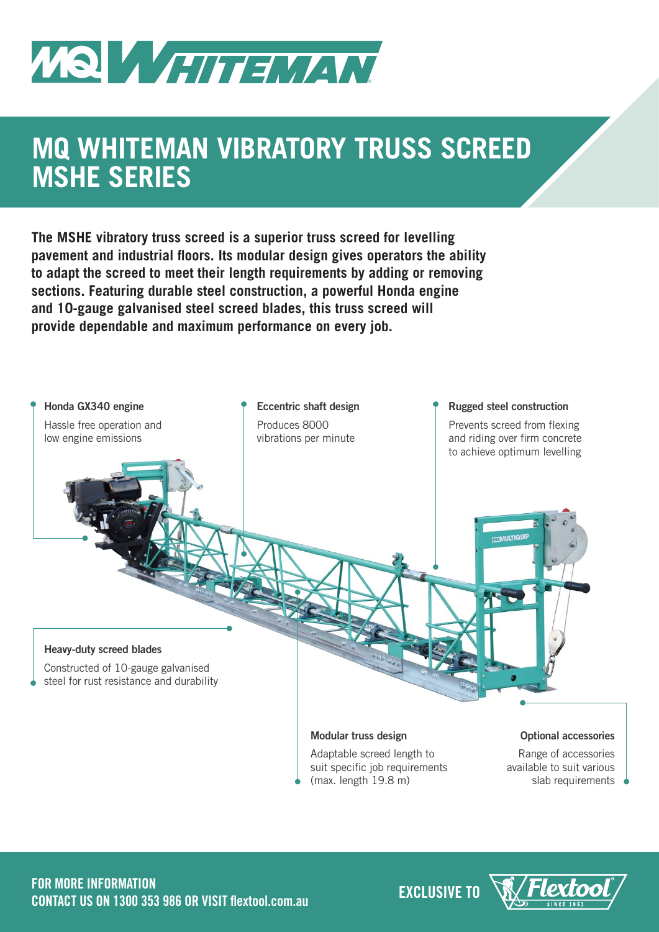

# **MQ WHITEMAN VIBRATORY TRUSS SCREED MSHE SERIES**

**The MSHE vibratory truss screed is a superior truss screed for levelling pavement and industrial floors. Its modular design gives operators the ability to adapt the screed to meet their length requirements by adding or removing sections. Featuring durable steel construction, a powerful Honda engine and 10-gauge galvanised steel screed blades, this truss screed will provide dependable and maximum performance on every job.**



**EXCLUSIVE TO FOR MORE INFORMATION CONTACT US ON 1300 353 986 OR VISIT flextool.com.au**